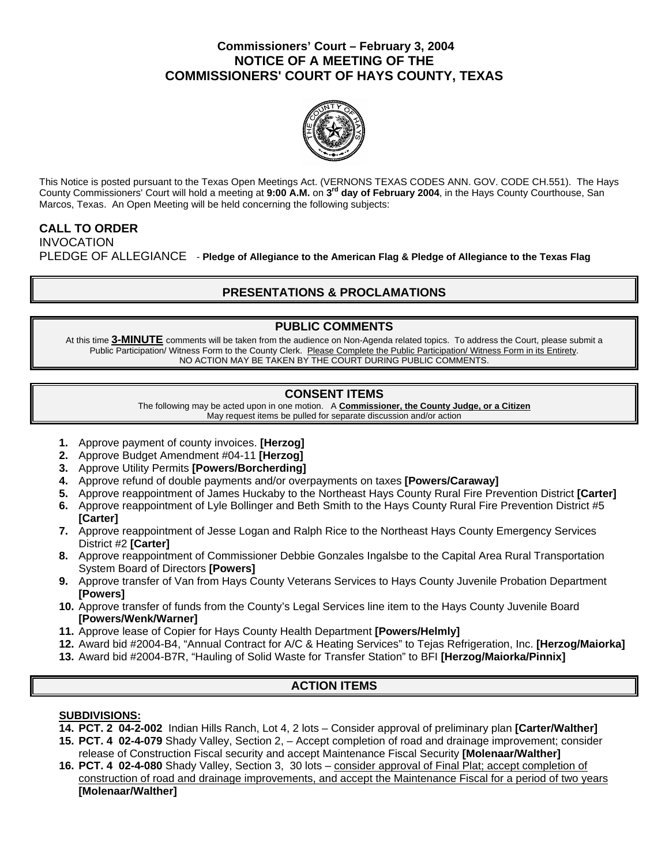### **Commissioners' Court – February 3, 2004 NOTICE OF A MEETING OF THE COMMISSIONERS' COURT OF HAYS COUNTY, TEXAS**



This Notice is posted pursuant to the Texas Open Meetings Act. (VERNONS TEXAS CODES ANN. GOV. CODE CH.551). The Hays County Commissioners' Court will hold a meeting at **9:00 A.M.** on **3rd day of February 2004**, in the Hays County Courthouse, San Marcos, Texas. An Open Meeting will be held concerning the following subjects:

#### **CALL TO ORDER**  INVOCATION

PLEDGE OF ALLEGIANCE - **Pledge of Allegiance to the American Flag & Pledge of Allegiance to the Texas Flag** 

# **PRESENTATIONS & PROCLAMATIONS**

### **PUBLIC COMMENTS**

At this time **3-MINUTE** comments will be taken from the audience on Non-Agenda related topics. To address the Court, please submit a Public Participation/ Witness Form to the County Clerk. Please Complete the Public Participation/ Witness Form in its Entirety. NO ACTION MAY BE TAKEN BY THE COURT DURING PUBLIC COMMENTS.

### **CONSENT ITEMS**

The following may be acted upon in one motion. A **Commissioner, the County Judge, or a Citizen** May request items be pulled for separate discussion and/or action

- **1.** Approve payment of county invoices. **[Herzog]**
- **2.** Approve Budget Amendment #04-11 **[Herzog]**
- **3.** Approve Utility Permits **[Powers/Borcherding]**
- **4.** Approve refund of double payments and/or overpayments on taxes **[Powers/Caraway]**
- **5.** Approve reappointment of James Huckaby to the Northeast Hays County Rural Fire Prevention District **[Carter]**
- **6.** Approve reappointment of Lyle Bollinger and Beth Smith to the Hays County Rural Fire Prevention District #5 **[Carter]**
- **7.** Approve reappointment of Jesse Logan and Ralph Rice to the Northeast Hays County Emergency Services District #2 **[Carter]**
- **8.** Approve reappointment of Commissioner Debbie Gonzales Ingalsbe to the Capital Area Rural Transportation System Board of Directors **[Powers]**
- **9.** Approve transfer of Van from Hays County Veterans Services to Hays County Juvenile Probation Department **[Powers]**
- **10.** Approve transfer of funds from the County's Legal Services line item to the Hays County Juvenile Board **[Powers/Wenk/Warner]**
- **11.** Approve lease of Copier for Hays County Health Department **[Powers/Helmly]**
- **12.** Award bid #2004-B4, "Annual Contract for A/C & Heating Services" to Tejas Refrigeration, Inc. **[Herzog/Maiorka]**
- **13.** Award bid #2004-B7R, "Hauling of Solid Waste for Transfer Station" to BFI **[Herzog/Maiorka/Pinnix]**

## **ACTION ITEMS**

### **SUBDIVISIONS:**

- **14. PCT. 2 04-2-002** Indian Hills Ranch, Lot 4, 2 lots Consider approval of preliminary plan **[Carter/Walther]**
- **15. PCT. 4 02-4-079** Shady Valley, Section 2, Accept completion of road and drainage improvement; consider release of Construction Fiscal security and accept Maintenance Fiscal Security **[Molenaar/Walther]**
- **16. PCT. 4 02-4-080** Shady Valley, Section 3, 30 lots consider approval of Final Plat; accept completion of construction of road and drainage improvements, and accept the Maintenance Fiscal for a period of two years **[Molenaar/Walther]**